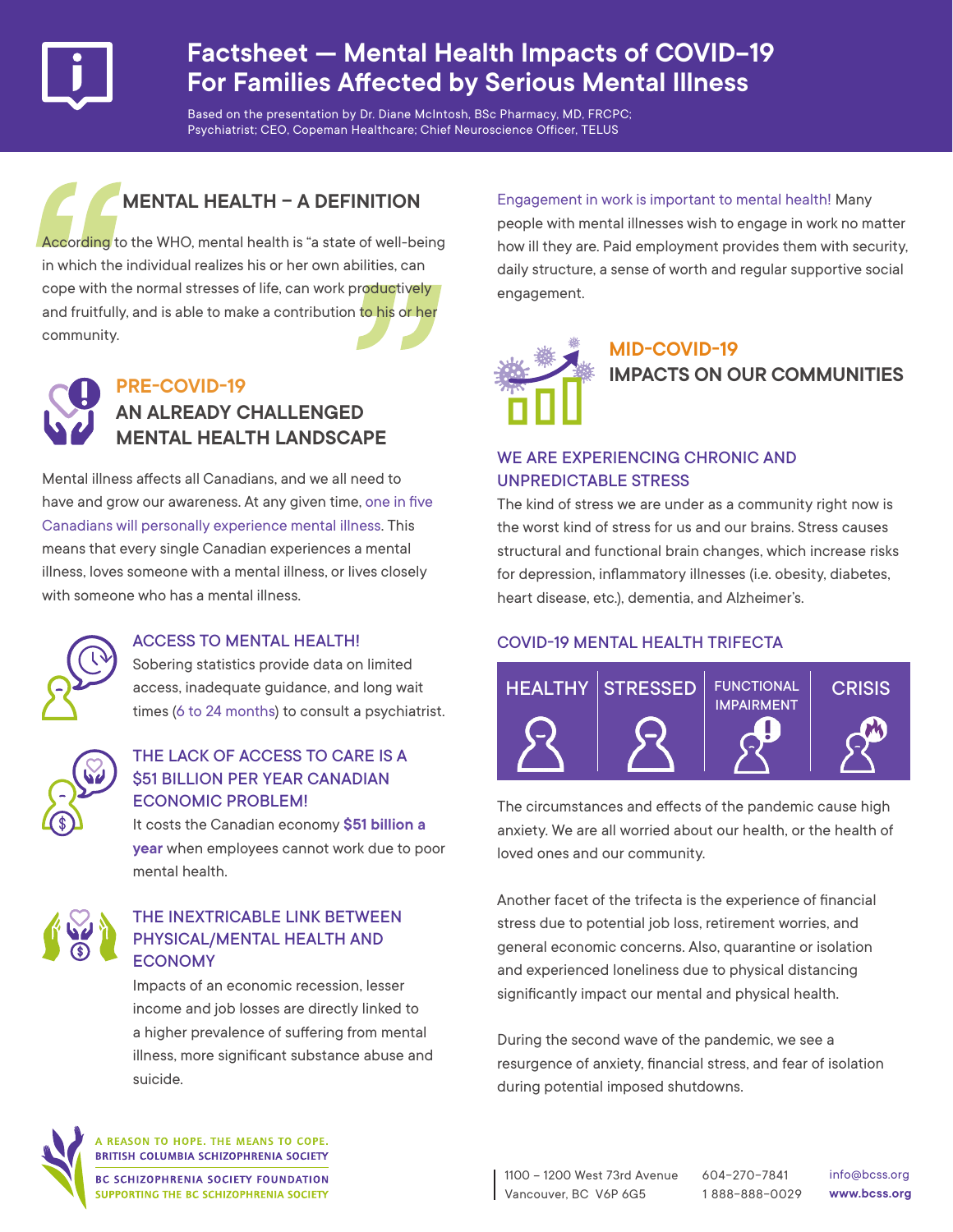

## **Factsheet — Mental Health Impacts of COVID-19 For Families Affected by Serious Mental Illness**

Based on the presentation by Dr. Diane McIntosh, BSc Pharmacy, MD, FRCPC; Psychiatrist; CEO, Copeman Healthcare; Chief Neuroscience Officer, TELUS

## **MENTAL HEALTH – A DEFINITION**

According to the WHO, mental health is "a state of well-being in which the individual realizes his or her own abilities, can cope with the normal stresses of life, can work productively and fruitfully, and is able to make a contribution to his or her community.



## **PRE-COVID-19 AN ALREADY CHALLENGED MENTAL HEALTH LANDSCAPE**

Mental illness affects all Canadians, and we all need to have and grow our awareness. At any given time, one in five Canadians will personally experience mental illness. This means that every single Canadian experiences a mental illness, loves someone with a mental illness, or lives closely with someone who has a mental illness.



## ACCESS TO MENTAL HEALTH!

Sobering statistics provide data on limited access, inadequate guidance, and long wait times (6 to 24 months) to consult a psychiatrist.

| ¢ |  |
|---|--|

## THE LACK OF ACCESS TO CARE IS A \$51 BILLION PER YEAR CANADIAN ECONOMIC PROBLEM!

It costs the Canadian economy **\$51 billion a year** when employees cannot work due to poor mental health.



### THE INEXTRICABLE LINK BETWEEN PHYSICAL/MENTAL HEALTH AND **ECONOMY**

Impacts of an economic recession, lesser income and job losses are directly linked to a higher prevalence of suffering from mental illness, more significant substance abuse and suicide.

Engagement in work is important to mental health! Many people with mental illnesses wish to engage in work no matter how ill they are. Paid employment provides them with security, daily structure, a sense of worth and regular supportive social engagement.

## **MID-COVID-19 IMPACTS ON OUR COMMUNITIES**

## WE ARE EXPERIENCING CHRONIC AND UNPREDICTABLE STRESS

The kind of stress we are under as a community right now is the worst kind of stress for us and our brains. Stress causes structural and functional brain changes, which increase risks for depression, inflammatory illnesses (i.e. obesity, diabetes, heart disease, etc.), dementia, and Alzheimer's.

## COVID-19 MENTAL HEALTH TRIFECTA



The circumstances and effects of the pandemic cause high anxiety. We are all worried about our health, or the health of loved ones and our community.

Another facet of the trifecta is the experience of financial stress due to potential job loss, retirement worries, and general economic concerns. Also, quarantine or isolation and experienced loneliness due to physical distancing significantly impact our mental and physical health.

During the second wave of the pandemic, we see a resurgence of anxiety, financial stress, and fear of isolation during potential imposed shutdowns.



A REASON TO HOPE. THE MEANS TO COPE. BRITISH COLUMBIA SCHIZOPHRENIA SOCIETY

**BC SCHIZOPHRENIA SOCIETY FOUNDATION** SUPPORTING THE BC SCHIZOPHRENIA SOCIETY